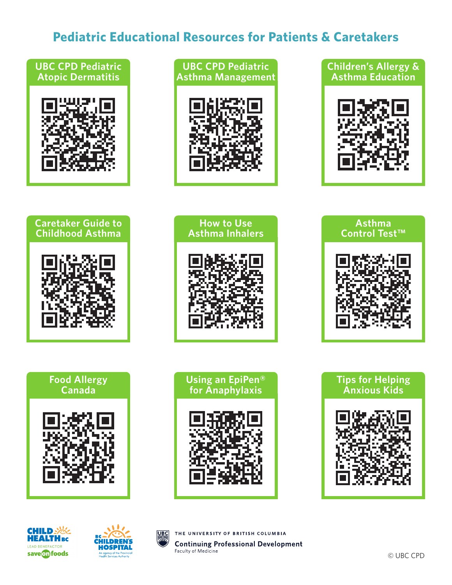## **Pediatric Educational Resources for Patients & Caretakers**

### **UBC CPD Pediatric Atopic Dermatitis**













**How to Use Asthma Inhalers**





**Food Allergy Canada**





**Tips for Helping Anxious Kids**





**UBC** 

THE UNIVERSITY OF BRITISH COLUMBIA **Continuing Professional Development** Faculty of Medicine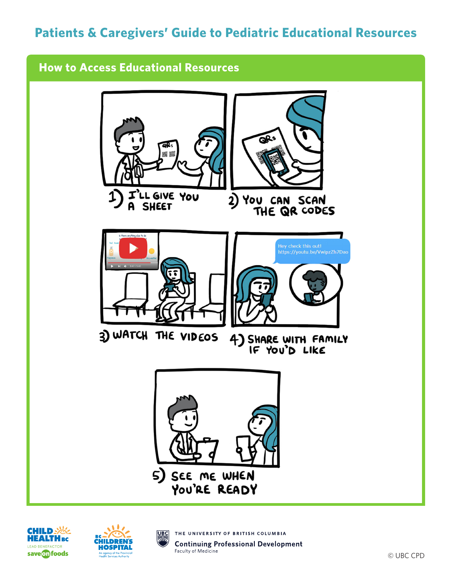# **Patients & Caregivers' Guide to Pediatric Educational Resources**

## **How to Access Educational Resources**







THE UNIVERSITY OF BRITISH COLUMBIA **UBC Continuing Professional Development** Faculty of Medicine